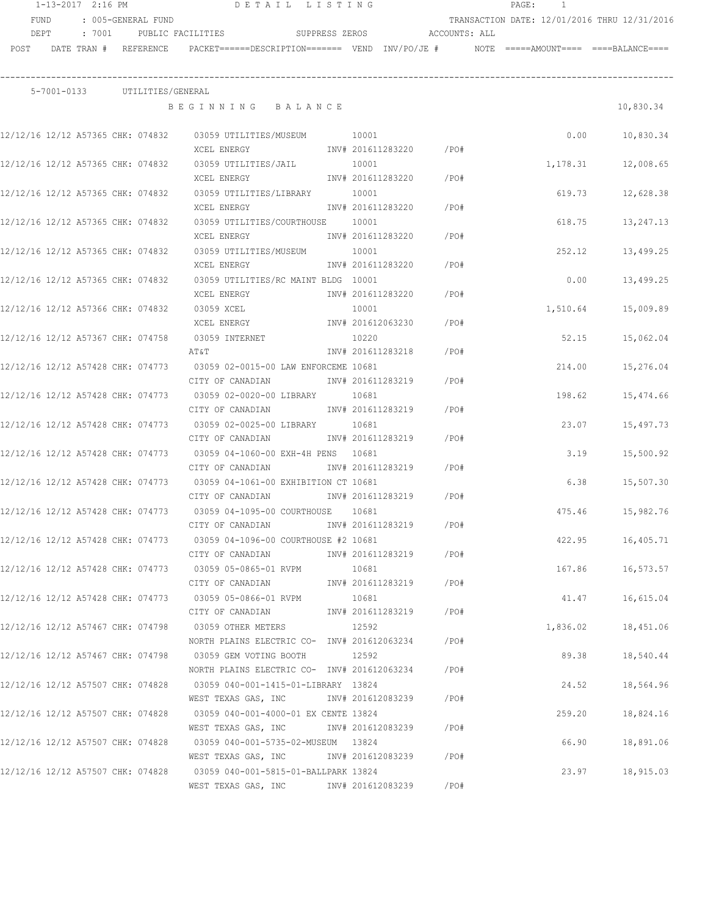|      | 1-13-2017 2:16 PM |        |                                   | DETAIL LISTING                                                                             |                   |         | PAGE: | $\frac{1}{2}$ |                                              |
|------|-------------------|--------|-----------------------------------|--------------------------------------------------------------------------------------------|-------------------|---------|-------|---------------|----------------------------------------------|
|      | FUND              |        | : 005-GENERAL FUND                |                                                                                            |                   |         |       |               | TRANSACTION DATE: 12/01/2016 THRU 12/31/2016 |
|      | DEPT              | : 7001 |                                   | SUPPRESS ZEROS ACCOUNTS: ALL<br>PUBLIC FACILITIES                                          |                   |         |       |               |                                              |
| POST |                   |        | DATE TRAN # REFERENCE             | PACKET======DESCRIPTION======= VEND INV/PO/JE #                                            |                   |         |       |               | $NOTE$ ===== $AMOUNT$ ==== ====BALANCE====   |
|      |                   |        |                                   |                                                                                            |                   |         |       |               |                                              |
|      | 5-7001-0133       |        | UTILITIES/GENERAL                 | BEGINNING BALANCE                                                                          |                   |         |       |               | 10,830.34                                    |
|      |                   |        | 12/12/16 12/12 A57365 CHK: 074832 | 03059 UTILITIES/MUSEUM                                                                     | 10001             |         |       | 0.00          | 10,830.34                                    |
|      |                   |        |                                   | XCEL ENERGY                                                                                | INV# 201611283220 | /PO#    |       |               |                                              |
|      |                   |        | 12/12/16 12/12 A57365 CHK: 074832 | 03059 UTILITIES/JAIL                                                                       | 10001             |         |       | 1,178.31      | 12,008.65                                    |
|      |                   |        |                                   | XCEL ENERGY                                                                                | INV# 201611283220 | /PO#    |       |               |                                              |
|      |                   |        | 12/12/16 12/12 A57365 CHK: 074832 | 03059 UTILITIES/LIBRARY                                                                    | 10001             |         |       | 619.73        | 12,628.38                                    |
|      |                   |        |                                   | XCEL ENERGY                                                                                | INV# 201611283220 | /PO#    |       |               |                                              |
|      |                   |        | 12/12/16 12/12 A57365 CHK: 074832 | 03059 UTILITIES/COURTHOUSE 10001                                                           |                   |         |       | 618.75        | 13,247.13                                    |
|      |                   |        |                                   | XCEL ENERGY                                                                                | INV# 201611283220 | $/$ PO# |       |               |                                              |
|      |                   |        | 12/12/16 12/12 A57365 CHK: 074832 | 03059 UTILITIES/MUSEUM                                                                     | 10001             |         |       | 252.12        | 13,499.25                                    |
|      |                   |        |                                   | XCEL ENERGY                                                                                | INV# 201611283220 | $/$ PO# |       |               |                                              |
|      |                   |        | 12/12/16 12/12 A57365 CHK: 074832 | 03059 UTILITIES/RC MAINT BLDG 10001                                                        |                   |         |       | 0.00          | 13,499.25                                    |
|      |                   |        |                                   | XCEL ENERGY                                                                                | INV# 201611283220 | $/$ PO# |       |               |                                              |
|      |                   |        | 12/12/16 12/12 A57366 CHK: 074832 | 03059 XCEL                                                                                 | 10001             |         |       | 1,510.64      | 15,009.89                                    |
|      |                   |        |                                   | XCEL ENERGY                                                                                | INV# 201612063230 | /PO#    |       |               |                                              |
|      |                   |        | 12/12/16 12/12 A57367 CHK: 074758 | 03059 INTERNET                                                                             | 10220             |         |       | 52.15         | 15,062.04                                    |
|      |                   |        |                                   | AΤ&Τ                                                                                       | INV# 201611283218 | /PO#    |       |               |                                              |
|      |                   |        | 12/12/16 12/12 A57428 CHK: 074773 | 03059 02-0015-00 LAW ENFORCEME 10681                                                       |                   |         |       | 214.00        | 15,276.04                                    |
|      |                   |        |                                   | CITY OF CANADIAN                                                                           | INV# 201611283219 | /PO#    |       |               |                                              |
|      |                   |        | 12/12/16 12/12 A57428 CHK: 074773 | 03059 02-0020-00 LIBRARY                                                                   | 10681             |         |       | 198.62        | 15,474.66                                    |
|      |                   |        |                                   | CITY OF CANADIAN                                                                           | INV# 201611283219 | /PO#    |       |               |                                              |
|      |                   |        | 12/12/16 12/12 A57428 CHK: 074773 | 03059 02-0025-00 LIBRARY                                                                   | 10681             |         |       | 23.07         | 15,497.73                                    |
|      |                   |        |                                   | CITY OF CANADIAN                                                                           | INV# 201611283219 | /PO#    |       |               |                                              |
|      |                   |        | 12/12/16 12/12 A57428 CHK: 074773 | 03059 04-1060-00 EXH-4H PENS 10681                                                         |                   |         |       | 3.19          | 15,500.92                                    |
|      |                   |        |                                   | CITY OF CANADIAN                                                                           | INV# 201611283219 | /PO#    |       |               |                                              |
|      |                   |        | 12/12/16 12/12 A57428 CHK: 074773 | 03059 04-1061-00 EXHIBITION CT 10681                                                       |                   |         |       | 6.38          | 15,507.30                                    |
|      |                   |        |                                   | CITY OF CANADIAN                                                                           | INV# 201611283219 | $/$ PO# |       |               |                                              |
|      |                   |        | 12/12/16 12/12 A57428 CHK: 074773 | 03059 04-1095-00 COURTHOUSE                                                                | 10681             |         |       | 475.46        | 15,982.76                                    |
|      |                   |        |                                   | CITY OF CANADIAN<br>12/12/16 12/12 A57428 CHK: 074773 03059 04-1096-00 COURTHOUSE #2 10681 | INV# 201611283219 | /PO#    |       |               |                                              |
|      |                   |        |                                   | CITY OF CANADIAN                                                                           | INV# 201611283219 | $/$ PO# |       | 422.95        | 16,405.71                                    |
|      |                   |        |                                   | 12/12/16 12/12 A57428 CHK: 074773 03059 05-0865-01 RVPM                                    | 10681             |         |       | 167.86        | 16,573.57                                    |
|      |                   |        |                                   | CITY OF CANADIAN                                                                           | INV# 201611283219 | /PO#    |       |               |                                              |
|      |                   |        |                                   | 12/12/16 12/12 A57428 CHK: 074773 03059 05-0866-01 RVPM                                    | 10681             |         |       | 41.47         | 16,615.04                                    |
|      |                   |        |                                   | CITY OF CANADIAN                                                                           | INV# 201611283219 | /PO#    |       |               |                                              |
|      |                   |        |                                   | 12/12/16 12/12 A57467 CHK: 074798 03059 OTHER METERS                                       | 12592             |         |       | 1,836.02      | 18,451.06                                    |
|      |                   |        |                                   | NORTH PLAINS ELECTRIC CO- INV# 201612063234 / PO#                                          |                   |         |       |               |                                              |
|      |                   |        |                                   | 12/12/16 12/12 A57467 CHK: 074798 03059 GEM VOTING BOOTH                                   | 12592             |         |       | 89.38         | 18,540.44                                    |
|      |                   |        |                                   | NORTH PLAINS ELECTRIC CO- INV# 201612063234                                                |                   | $/$ PO# |       |               |                                              |
|      |                   |        | 12/12/16 12/12 A57507 CHK: 074828 | 03059 040-001-1415-01-LIBRARY 13824                                                        |                   |         |       | 24.52         | 18,564.96                                    |
|      |                   |        |                                   | WEST TEXAS GAS, INC METALL 201612083239                                                    |                   | /PO#    |       |               |                                              |
|      |                   |        | 12/12/16 12/12 A57507 CHK: 074828 | 03059 040-001-4000-01 EX CENTE 13824                                                       |                   |         |       | 259.20        | 18,824.16                                    |
|      |                   |        |                                   | WEST TEXAS GAS, INC MOV# 201612083239                                                      |                   | /PO#    |       |               |                                              |
|      |                   |        | 12/12/16 12/12 A57507 CHK: 074828 | 03059 040-001-5735-02-MUSEUM 13824                                                         |                   |         |       | 66.90         | 18,891.06                                    |
|      |                   |        |                                   | WEST TEXAS GAS, INC METALL 201612083239                                                    |                   | /PO#    |       |               |                                              |
|      |                   |        | 12/12/16 12/12 A57507 CHK: 074828 | 03059 040-001-5815-01-BALLPARK 13824                                                       |                   |         |       | 23.97         | 18,915.03                                    |
|      |                   |        |                                   | WEST TEXAS GAS, INC MOV# 201612083239                                                      |                   | /PO#    |       |               |                                              |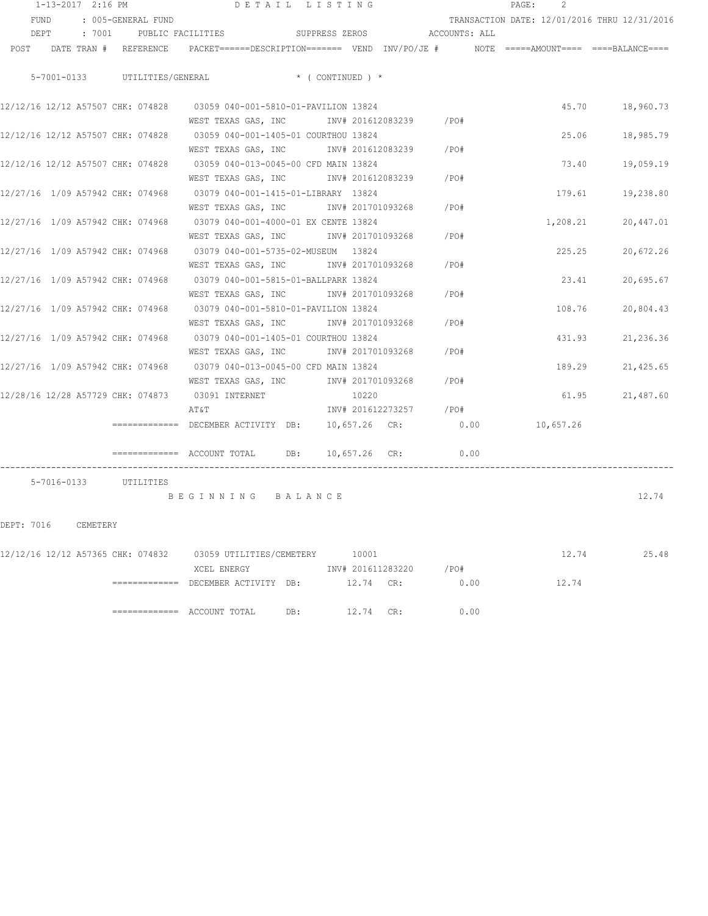|            | 1-13-2017 2:16 PM |                               | DETAIL LISTING                                                                                                                 |                               |           |           |                        |      | PAGE:<br>-2                                  |                 |
|------------|-------------------|-------------------------------|--------------------------------------------------------------------------------------------------------------------------------|-------------------------------|-----------|-----------|------------------------|------|----------------------------------------------|-----------------|
| FUND       |                   | : 005-GENERAL FUND            |                                                                                                                                |                               |           |           |                        |      | TRANSACTION DATE: 12/01/2016 THRU 12/31/2016 |                 |
|            |                   |                               | DEPT : 7001 PUBLIC FACILITIES SUPPRESS ZEROS ACCOUNTS: ALL                                                                     |                               |           |           |                        |      |                                              |                 |
|            |                   |                               | POST DATE TRAN # REFERENCE PACKET======DESCRIPTION======= VEND INV/PO/JE # NOTE =====AMOUNT==== ====BALANCE====                |                               |           |           |                        |      |                                              |                 |
|            |                   | 5-7001-0133 UTILITIES/GENERAL |                                                                                                                                | $\star$ ( CONTINUED ) $\star$ |           |           |                        |      |                                              |                 |
|            |                   |                               | 12/12/16 12/12 A57507 CHK: 074828 03059 040-001-5810-01-PAVILION 13824                                                         |                               |           |           |                        |      | 45.70                                        | 18,960.73       |
|            |                   |                               | WEST TEXAS GAS, INC MOV# 201612083239 / PO#<br>12/12/16 12/12 A57507 CHK: 074828 03059 040-001-1405-01 COURTHOU 13824          |                               |           |           |                        |      | 25.06                                        | 18,985.79       |
|            |                   |                               | WEST TEXAS GAS, INC MONTH 201612083239 / PO#                                                                                   |                               |           |           |                        |      |                                              |                 |
|            |                   |                               | 12/12/16 12/12 A57507 CHK: 074828 03059 040-013-0045-00 CFD MAIN 13824                                                         |                               |           |           |                        |      | 73.40                                        | 19,059.19       |
|            |                   |                               | WEST TEXAS GAS, INC        INV# 201612083239     /PO#<br>12/27/16 1/09 A57942 CHK: 074968 03079 040-001-1415-01-LIBRARY 13824  |                               |           |           |                        |      | 179.61                                       | 19,238.80       |
|            |                   |                               | WEST TEXAS GAS, INC MONTH 201701093268 / PO#                                                                                   |                               |           |           |                        |      |                                              |                 |
|            |                   |                               | 12/27/16 1/09 A57942 CHK: 074968 03079 040-001-4000-01 EX CENTE 13824                                                          |                               |           |           |                        |      | 1,208.21                                     | 20,447.01       |
|            |                   |                               | WEST TEXAS GAS, INC METALLY 101701093268 / PO#<br>12/27/16 1/09 A57942 CHK: 074968 03079 040-001-5735-02-MUSEUM 13824          |                               |           |           |                        |      | 225.25                                       | 20,672.26       |
|            |                   |                               | WEST TEXAS GAS, INC MONTH 201701093268 / PO#                                                                                   |                               |           |           |                        |      |                                              |                 |
|            |                   |                               | 12/27/16 1/09 A57942 CHK: 074968 03079 040-001-5815-01-BALLPARK 13824<br>WEST TEXAS GAS, INC        INV# 201701093268     /PO# |                               |           |           |                        |      | 23.41                                        | 20,695.67       |
|            |                   |                               | 12/27/16 1/09 A57942 CHK: 074968 03079 040-001-5810-01-PAVILION 13824                                                          |                               |           |           |                        |      | 108.76                                       | 20,804.43       |
|            |                   |                               | WEST TEXAS GAS, INC       INV# 201701093268     /PO#                                                                           |                               |           |           |                        |      |                                              |                 |
|            |                   |                               | 12/27/16 1/09 A57942 CHK: 074968 03079 040-001-1405-01 COURTHOU 13824<br>WEST TEXAS GAS, INC        INV# 201701093268     /PO# |                               |           |           |                        |      | 431.93                                       | 21,236.36       |
|            |                   |                               | 12/27/16 1/09 A57942 CHK: 074968 03079 040-013-0045-00 CFD MAIN 13824                                                          |                               |           |           |                        |      | 189.29                                       | 21,425.65       |
|            |                   |                               | WEST TEXAS GAS, INC MONTH 201701093268 / PO#                                                                                   |                               |           |           |                        |      |                                              |                 |
|            |                   |                               | 12/28/16 12/28 A57729 CHK: 074873 03091 INTERNET<br>AT&T                                                                       |                               | 10220     |           | INV# 201612273257 /PO# |      |                                              | 61.95 21,487.60 |
|            |                   |                               | $\equiv$ ============ DECEMBER ACTIVITY DB:                                                                                    |                               |           |           | 10,657.26 CR: 0.00     |      | 10,657.26                                    |                 |
|            |                   |                               | ============ ACCOUNT TOTAL DB: 10,657.26 CR: 0.00                                                                              |                               |           |           |                        |      |                                              |                 |
|            |                   | 5-7016-0133 UTILITIES         |                                                                                                                                |                               |           |           |                        |      |                                              |                 |
|            |                   |                               | BEGINNING BALANCE                                                                                                              |                               |           |           |                        |      |                                              | 12.74           |
| DEPT: 7016 | CEMETERY          |                               |                                                                                                                                |                               |           |           |                        |      |                                              |                 |
|            |                   |                               | 12/12/16 12/12 A57365 CHK: 074832 03059 UTILITIES/CEMETERY 10001                                                               |                               |           |           |                        |      | 12.74                                        | 25.48           |
|            |                   |                               | XCEL ENERGY                                                                                                                    |                               |           |           | INV# 201611283220 /PO# |      |                                              |                 |
|            |                   | --------------                | DECEMBER ACTIVITY DB:                                                                                                          |                               | 12.74 CR: |           |                        | 0.00 | 12.74                                        |                 |
|            |                   |                               | $\equiv$ ============ ACCOUNT TOTAL                                                                                            | DB:                           |           | 12.74 CR: |                        | 0.00 |                                              |                 |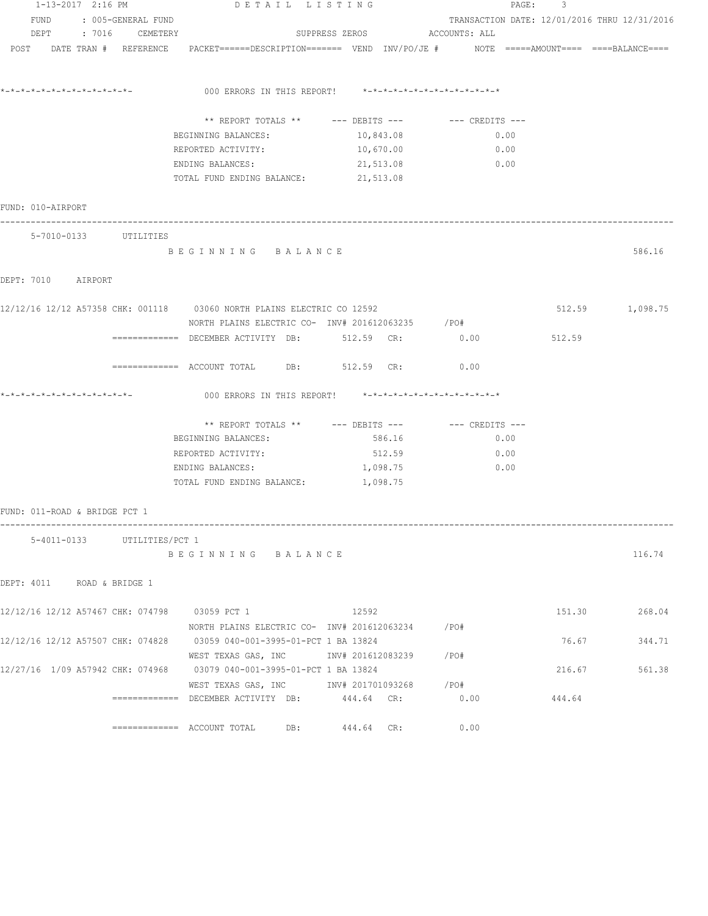| 1-13-2017 2:16 PM<br>FUND : 005-GENERAL FUND<br>DEPT : 7016 CEMETERY |                               |  |                             | DETAIL LISTING                                                                                                                |                              |      | PAGE: 3                                      |                 |  |  |  |
|----------------------------------------------------------------------|-------------------------------|--|-----------------------------|-------------------------------------------------------------------------------------------------------------------------------|------------------------------|------|----------------------------------------------|-----------------|--|--|--|
|                                                                      |                               |  |                             |                                                                                                                               |                              |      | TRANSACTION DATE: 12/01/2016 THRU 12/31/2016 |                 |  |  |  |
|                                                                      |                               |  |                             |                                                                                                                               | SUPPRESS ZEROS ACCOUNTS: ALL |      |                                              |                 |  |  |  |
|                                                                      |                               |  |                             | POST DATE TRAN # REFERENCE PACKET======DESCRIPTION======= VEND INV/PO/JE # NOTE =====AMOUNT==== ====BALANCE====               |                              |      |                                              |                 |  |  |  |
|                                                                      |                               |  |                             | *-*-*-*-*-*-*-*-*-*-*-*-*-          000 ERRORS IN THIS REPORT!               *-*-*-*-*-*-*-*-*-*-*-*                          |                              |      |                                              |                 |  |  |  |
|                                                                      |                               |  |                             | ** REPORT TOTALS ** --- DEBITS --- -- -- CREDITS ---                                                                          |                              |      |                                              |                 |  |  |  |
|                                                                      |                               |  |                             | BEGINNING BALANCES:                                                                                                           | 10,843.08                    | 0.00 |                                              |                 |  |  |  |
|                                                                      |                               |  |                             | REPORTED ACTIVITY:                                                                                                            | 10,670.00                    | 0.00 |                                              |                 |  |  |  |
|                                                                      |                               |  |                             | ENDING BALANCES:                                                                                                              | 21,513.08                    | 0.00 |                                              |                 |  |  |  |
|                                                                      |                               |  |                             | TOTAL FUND ENDING BALANCE:                                                                                                    | 21,513.08                    |      |                                              |                 |  |  |  |
|                                                                      | FUND: 010-AIRPORT             |  |                             |                                                                                                                               |                              |      |                                              |                 |  |  |  |
|                                                                      |                               |  | 5-7010-0133 UTILITIES       |                                                                                                                               |                              |      |                                              |                 |  |  |  |
|                                                                      |                               |  |                             | BEGINNING BALANCE                                                                                                             |                              |      |                                              | 586.16          |  |  |  |
|                                                                      | DEPT: 7010 AIRPORT            |  |                             |                                                                                                                               |                              |      |                                              |                 |  |  |  |
|                                                                      |                               |  |                             | 12/12/16 12/12 A57358 CHK: 001118 03060 NORTH PLAINS ELECTRIC CO 12592                                                        |                              |      |                                              | 512.59 1,098.75 |  |  |  |
|                                                                      |                               |  |                             | NORTH PLAINS ELECTRIC CO- INV# 201612063235 / PO#<br>============= DECEMBER ACTIVITY DB: 512.59 CR:                           |                              | 0.00 | 512.59                                       |                 |  |  |  |
|                                                                      |                               |  |                             | ============= ACCOUNT TOTAL DB: 512.59 CR:                                                                                    |                              | 0.00 |                                              |                 |  |  |  |
|                                                                      |                               |  |                             | 000 ERRORS IN THIS REPORT! *-*-*-*-*-*-*-*-*-*-*-*-*-*-                                                                       |                              |      |                                              |                 |  |  |  |
|                                                                      |                               |  |                             |                                                                                                                               |                              |      |                                              |                 |  |  |  |
|                                                                      |                               |  |                             | ** REPORT TOTALS ** --- DEBITS --- -- -- CREDITS ---                                                                          |                              |      |                                              |                 |  |  |  |
|                                                                      |                               |  |                             | BEGINNING BALANCES:                                                                                                           | 586.16                       | 0.00 |                                              |                 |  |  |  |
|                                                                      |                               |  |                             | REPORTED ACTIVITY:                                                                                                            | 512.59                       | 0.00 |                                              |                 |  |  |  |
|                                                                      |                               |  |                             | ENDING BALANCES:                                                                                                              | 1,098.75                     | 0.00 |                                              |                 |  |  |  |
|                                                                      |                               |  |                             | TOTAL FUND ENDING BALANCE:                                                                                                    | 1,098.75                     |      |                                              |                 |  |  |  |
|                                                                      | FUND: 011-ROAD & BRIDGE PCT 1 |  |                             |                                                                                                                               |                              |      |                                              |                 |  |  |  |
|                                                                      |                               |  | 5-4011-0133 UTILITIES/PCT 1 | BEGINNING BALANCE                                                                                                             |                              |      |                                              |                 |  |  |  |
|                                                                      |                               |  |                             |                                                                                                                               |                              |      |                                              | 116.74          |  |  |  |
|                                                                      |                               |  | DEPT: 4011 ROAD & BRIDGE 1  |                                                                                                                               |                              |      |                                              |                 |  |  |  |
|                                                                      |                               |  |                             | 12/12/16 12/12 A57467 CHK: 074798 03059 PCT 1 12592                                                                           |                              |      |                                              | 151.30 268.04   |  |  |  |
|                                                                      |                               |  |                             | NORTH PLAINS ELECTRIC CO- $1$ NV# 201612063234 /PO#<br>12/12/16 12/12 A57507 CHK: 074828 03059 040-001-3995-01-PCT 1 BA 13824 |                              |      |                                              | 76.67<br>344.71 |  |  |  |
|                                                                      |                               |  |                             | WEST TEXAS GAS, INC        INV# 201612083239     /PO#                                                                         |                              |      |                                              |                 |  |  |  |
|                                                                      |                               |  |                             | 12/27/16 1/09 A57942 CHK: 074968 03079 040-001-3995-01-PCT 1 BA 13824                                                         |                              |      | 216.67                                       | 561.38          |  |  |  |
|                                                                      |                               |  |                             | WEST TEXAS GAS, INC     INV# 201701093268   /PO#                                                                              |                              |      |                                              |                 |  |  |  |
|                                                                      |                               |  |                             | $\texttt{-----} \texttt{-----}$ DECEMBER ACTIVITY DB: $444.64$ CR:                                                            |                              | 0.00 | 444.64                                       |                 |  |  |  |
|                                                                      |                               |  |                             |                                                                                                                               | 444.64 CR:                   | 0.00 |                                              |                 |  |  |  |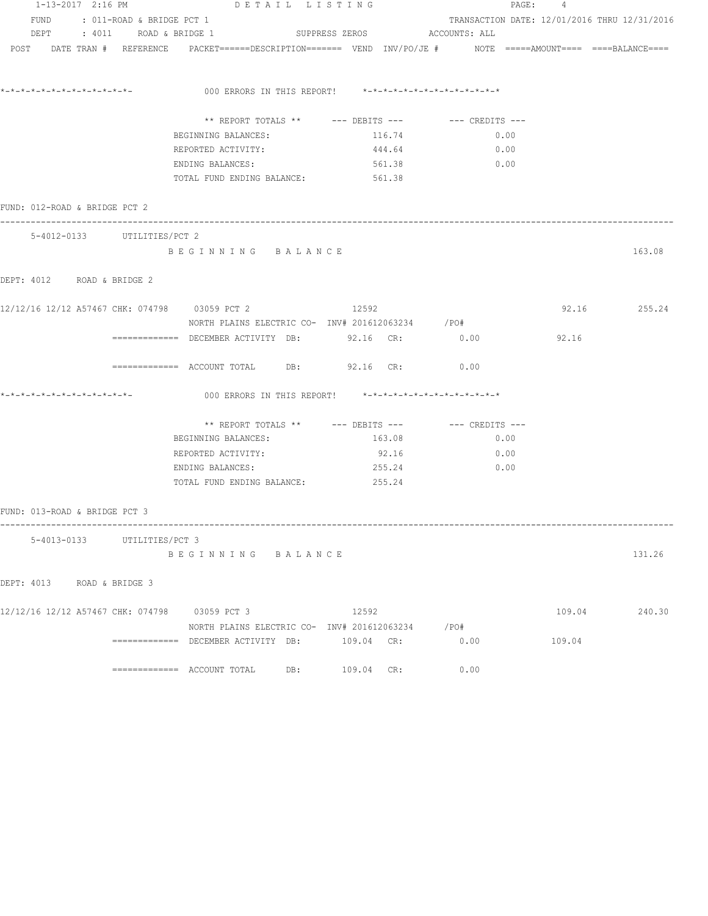|                               | 1-13-2017 2:16 PM |                                | DETAIL LISTING                                                                                                  |            |        |                                                      | PAGE: 4 |                                              |  |  |  |
|-------------------------------|-------------------|--------------------------------|-----------------------------------------------------------------------------------------------------------------|------------|--------|------------------------------------------------------|---------|----------------------------------------------|--|--|--|
|                               |                   | FUND : 011-ROAD & BRIDGE PCT 1 |                                                                                                                 |            |        |                                                      |         | TRANSACTION DATE: 12/01/2016 THRU 12/31/2016 |  |  |  |
|                               |                   |                                | DEPT : 4011 ROAD & BRIDGE 1 SUPPRESS ZEROS ACCOUNTS: ALL                                                        |            |        |                                                      |         |                                              |  |  |  |
|                               |                   |                                | POST DATE TRAN # REFERENCE PACKET======DESCRIPTION======= VEND INV/PO/JE # NOTE =====AMOUNT==== ====BALANCE==== |            |        |                                                      |         |                                              |  |  |  |
|                               |                   |                                | 000 ERRORS IN THIS REPORT! $*-*-*-*-*-*-*-*-*-*-*-*-*-*-*$                                                      |            |        |                                                      |         |                                              |  |  |  |
|                               |                   |                                |                                                                                                                 |            |        |                                                      |         |                                              |  |  |  |
|                               |                   |                                |                                                                                                                 |            |        | ** REPORT TOTALS ** --- DEBITS --- -- -- CREDITS --- |         |                                              |  |  |  |
|                               |                   |                                | BEGINNING BALANCES:                                                                                             |            | 116.74 | 0.00                                                 |         |                                              |  |  |  |
|                               |                   |                                | REPORTED ACTIVITY:                                                                                              |            | 444.64 | 0.00                                                 |         |                                              |  |  |  |
|                               |                   |                                | ENDING BALANCES:                                                                                                |            | 561.38 | 0.00                                                 |         |                                              |  |  |  |
|                               |                   |                                | TOTAL FUND ENDING BALANCE: 561.38                                                                               |            |        |                                                      |         |                                              |  |  |  |
| FUND: 012-ROAD & BRIDGE PCT 2 |                   |                                |                                                                                                                 |            |        |                                                      |         |                                              |  |  |  |
|                               |                   | 5-4012-0133 UTILITIES/PCT 2    |                                                                                                                 |            |        |                                                      |         |                                              |  |  |  |
|                               |                   |                                | BEGINNING BALANCE                                                                                               |            |        |                                                      |         | 163.08                                       |  |  |  |
| DEPT: 4012 ROAD & BRIDGE 2    |                   |                                |                                                                                                                 |            |        |                                                      |         |                                              |  |  |  |
|                               |                   |                                | 12/12/16 12/12 A57467 CHK: 074798 03059 PCT 2                                                                   | 12592      |        |                                                      |         | 92.16 255.24                                 |  |  |  |
|                               |                   |                                | NORTH PLAINS ELECTRIC CO- INV# 201612063234 / PO#                                                               |            |        |                                                      |         |                                              |  |  |  |
|                               |                   |                                | ============ DECEMBER ACTIVITY DB: 92.16 CR: 0.00                                                               |            |        |                                                      | 92.16   |                                              |  |  |  |
|                               |                   |                                | ============ ACCOUNT TOTAL DB: 92.16 CR: 0.00                                                                   |            |        |                                                      |         |                                              |  |  |  |
|                               |                   |                                | *-*-*-*-*-*-*-*-*-*-*-*-*-           000 ERRORS IN THIS REPORT!    *-*-*-*-*-*-*-*-*-*-*-*-*                    |            |        |                                                      |         |                                              |  |  |  |
|                               |                   |                                |                                                                                                                 |            |        | ** REPORT TOTALS ** --- DEBITS --- -- -- CREDITS --- |         |                                              |  |  |  |
|                               |                   |                                | BEGINNING BALANCES:                                                                                             |            | 163.08 | 0.00                                                 |         |                                              |  |  |  |
|                               |                   |                                | REPORTED ACTIVITY:                                                                                              |            | 92.16  | 0.00                                                 |         |                                              |  |  |  |
|                               |                   |                                | ENDING BALANCES:                                                                                                |            | 255.24 | 0.00                                                 |         |                                              |  |  |  |
|                               |                   |                                | TOTAL FUND ENDING BALANCE: 255.24                                                                               |            |        |                                                      |         |                                              |  |  |  |
| FUND: 013-ROAD & BRIDGE PCT 3 |                   |                                |                                                                                                                 |            |        |                                                      |         |                                              |  |  |  |
|                               |                   | 5-4013-0133 UTILITIES/PCT 3    |                                                                                                                 |            |        |                                                      |         |                                              |  |  |  |
|                               |                   |                                | BEGINNING BALANCE                                                                                               |            |        |                                                      |         | 131.26                                       |  |  |  |
| DEPT: 4013 ROAD & BRIDGE 3    |                   |                                |                                                                                                                 |            |        |                                                      |         |                                              |  |  |  |
|                               |                   |                                | 12/12/16 12/12 A57467 CHK: 074798 03059 PCT 3                                                                   | 12592      |        |                                                      | 109.04  | 240.30                                       |  |  |  |
|                               |                   |                                | NORTH PLAINS ELECTRIC CO- INV# 201612063234 / PO#                                                               |            |        |                                                      |         |                                              |  |  |  |
|                               |                   |                                | ============ DECEMBER ACTIVITY DB: 109.04 CR:                                                                   |            |        | 0.00                                                 | 109.04  |                                              |  |  |  |
|                               |                   |                                |                                                                                                                 | 109.04 CR: |        | 0.00                                                 |         |                                              |  |  |  |